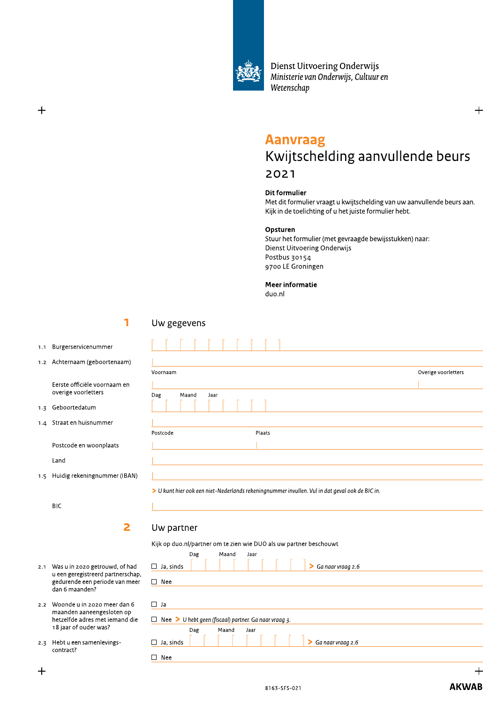

Dienst Uitvoering Onderwijs Ministerie van Onderwijs, Cultuur en Wetenschap

# Aanvraag Kwijtscheiding aanvullende beurs 2021 **Aanvraag**<br>
Kwijtschelding a<br>
2021<br>
Dit formulier<br>
Met dit formulier vraagt u kwijtscl<br>
Kijk in de toelichting of u het juiste<br>
Opsturen<br>
Stuur het formulier (met gevraage<br>
Dienst Uitvoering Onderwijs<br>
Postbus 30154<br>
9700 **Aanvraag**<br>
Kwijtschelding aanvullende b<br>
2021<br>
Dit formulier<br>
Met dit formulier vraagt u kwijtschelding van uw aanvullende<br>
Kijk in de toelichting of u het juiste formulier hebt.<br> **Opsturen**<br>
Stuur het formulier (met gevr

#### Dit formulier

Met dit formulier vraagt û kwijtscheiding van uw aanvullende beurs aan. Kijk in de toelichting of u het juiste formulier hebt.

## Opsturen

Stuur het formulier (met gevraagde bewijsstukken) haar: 2021<br>
Dit formulier<br>
Met dit formulier vraagt u kwijtsche<br>
Kijk in de toelichting of u het juiste f<br> **Opsturen**<br>
Stuur het formulier (met gevraagde<br>
Dienst Uitvoering Onderwijs<br>
Postbus 30154<br>
9700 LE Groningen<br> **Meer info** Dienst Uitvoering Onderwijs Postbus 30154 9700 LE Groningen

Meer informatie

 $du$ o.nl

щ

Н

Plaats

 $\triangleright$  U kunt hier ook een niet-Nederlands rekening nummer invullen. Vul in dat geval ook de BIC in.

 $\begin{aligned} \text{Voornaam} \end{aligned}$  Voornaam

]]

# and the contract of the state of the state of the state of the state of the state of the state of the state of the state of the state of the state of the state of the state of the state of the state of the state of the sta

1.1 Burgerservicenummer

 $+$ 

1.2 Achternaam (geboortenaam)

Eerste officiële voornaam en overige voorletters

1.3 Geboortedatum

1.4 Straat en huishummer

Postcode en woonplaats

Land

1.5 Huidig rekeningnummer (IBAN)

BIC

# $\Box$

Dag Maand Jaar – 2008 - 2014 waa

code Plaats

 $\frac{1}{2}$  , the contract of the contract of  $\frac{1}{2}$ ]

#### ka kacamatan <mark>2</mark> Uw partner

Uw gegevens

 $\overline{\phantom{a}}$ 

 $\Box$ Postcode

 $\overline{\phantom{a}}$ 

#### Kijk op duo.hi/partner om te zien wie DUO als uw partner beschouwt

| BIC                                                                                                                     |                                                                                                   |
|-------------------------------------------------------------------------------------------------------------------------|---------------------------------------------------------------------------------------------------|
| 2                                                                                                                       | Uw partner                                                                                        |
|                                                                                                                         | Kijk op duo.nl/partner om te zien wie DUO als uw partner beschouwt                                |
| Was u in 2020 getrouwd, of had<br>u een geregistreerd partnerschap,<br>gedurende een periode van meer<br>dan 6 maanden? | Maand<br>Dag<br>Jaar<br>Ga naar vraag 2.6<br>$\Box$ Ja, sinds<br>⋗<br>$\Box$ Nee                  |
| Woonde u in 2020 meer dan 6<br>maanden aaneengesloten op<br>hetzelfde adres met iemand die<br>18 jaar of ouder was?     | $\Box$ Ja<br>$\Box$ Nee > U hebt geen (fiscaal) partner. Ga naar vraag 3.<br>Dag<br>Maand<br>Jaar |
| Hebt u een samenlevings-<br>contract?                                                                                   | $\triangleright$ Ga naar vraag 2.6<br>$\Box$ Ja, sinds<br>Nee<br>┐                                |
|                                                                                                                         |                                                                                                   |

- 2.1 Was u in 2020 getrouwd, c reerd partnerschap, gedurende een periode va dan 6 maanden? 2.1 Was u in 2020 getrouwd, of had<br>
u een geregistreerd partnerscha<br>
gedurende een periode van me<br>
dan 6 maanden?<br>
2.2 Woonde u in 2020 meer dan 6<br>
maanden aaneengesloten op<br>
hetzelfde adres met iemand di<br>
18 jaar of ouder 2.1 Was u in 2020 getrouwd, of had<br>
u een geregistreerd partnerschap,<br>
gedurende een periode van meer<br>
dan 6 maanden?<br>
2.2 Woonde u in 2020 meer dan 6<br>
maanden aaneengesloten op<br>
hetzelfde adres met iemand die<br>
18 jaar of
	- 2.2 Woonde u in 2020 meer dan 6  $m$ aanden aaneengesloten op $\mathcal{L}$ hetzelfde adres met iemal<br>18 jaar of ouder was?
	- 2.3 Hebt u een samenlevingscontract?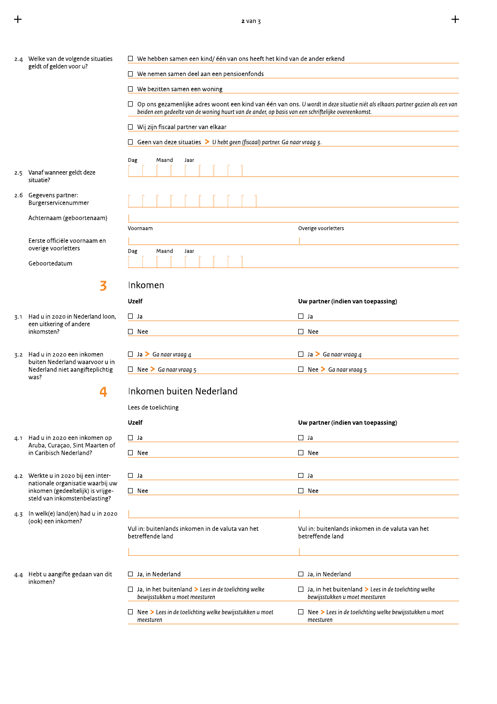$\ddot{+}$ 

|     | 2.4 Welke van de volgende situaties                                       | $\Box$ We hebben samen een kind/ één van ons heeft het kind van de ander erkend                                                                                                                                                             |                                                                                               |  |  |
|-----|---------------------------------------------------------------------------|---------------------------------------------------------------------------------------------------------------------------------------------------------------------------------------------------------------------------------------------|-----------------------------------------------------------------------------------------------|--|--|
|     | geldt of gelden voor u?                                                   |                                                                                                                                                                                                                                             |                                                                                               |  |  |
|     |                                                                           | $\Box$ We nemen samen deel aan een pensioenfonds                                                                                                                                                                                            |                                                                                               |  |  |
|     |                                                                           | $\Box$ We bezitten samen een woning                                                                                                                                                                                                         |                                                                                               |  |  |
|     |                                                                           | $\Box$ Op ons gezamenlijke adres woont een kind van één van ons. U wordt in deze situatie niét als elkaars partner gezien als een van<br>beiden een gedeelte van de woning huurt van de ander, op basis van een schriftelijke overeenkomst. |                                                                                               |  |  |
|     |                                                                           | $\Box$ Wij zijn fiscaal partner van elkaar                                                                                                                                                                                                  |                                                                                               |  |  |
|     |                                                                           | $\Box$ Geen van deze situaties > U hebt geen (fiscaal) partner. Ga naar vraag 3.                                                                                                                                                            |                                                                                               |  |  |
|     |                                                                           | Dag<br>Maand<br>Jaar                                                                                                                                                                                                                        |                                                                                               |  |  |
|     | 2.5 Vanaf wanneer geldt deze<br>situatie?                                 |                                                                                                                                                                                                                                             |                                                                                               |  |  |
|     | 2.6 Gegevens partner:<br>Burgerservicenummer                              |                                                                                                                                                                                                                                             |                                                                                               |  |  |
|     | Achternaam (geboortenaam)                                                 |                                                                                                                                                                                                                                             |                                                                                               |  |  |
|     | Eerste officiële voornaam en                                              | Voornaam                                                                                                                                                                                                                                    | Overige voorletters                                                                           |  |  |
|     | overige voorletters                                                       | Dag<br>Maand<br>Jaar                                                                                                                                                                                                                        |                                                                                               |  |  |
|     | Geboortedatum                                                             |                                                                                                                                                                                                                                             |                                                                                               |  |  |
|     | 3                                                                         | Inkomen                                                                                                                                                                                                                                     |                                                                                               |  |  |
|     |                                                                           | Uzelf                                                                                                                                                                                                                                       | Uw partner (indien van toepassing)                                                            |  |  |
| 3.1 | Had u in 2020 in Nederland loon,                                          | $\Box$ Ja                                                                                                                                                                                                                                   | $\Box$ Ja                                                                                     |  |  |
|     | een uitkering of andere<br>inkomsten?                                     | $\Box$ Nee                                                                                                                                                                                                                                  | $\square$ Nee                                                                                 |  |  |
|     | 3.2 Had u in 2020 een inkomen                                             | $\Box$ Ja > Ga naar vraag 4                                                                                                                                                                                                                 | $\Box$ Ja > Ga naar vraag 4                                                                   |  |  |
|     | buiten Nederland waarvoor u in<br>Nederland niet aangifteplichtig<br>was? | $\Box$ Nee > Ga naar vraag 5                                                                                                                                                                                                                | $\Box$ Nee > Ga naar vraag 5                                                                  |  |  |
|     |                                                                           | Inkomen buiten Nederland                                                                                                                                                                                                                    |                                                                                               |  |  |
|     |                                                                           | Lees de toelichting                                                                                                                                                                                                                         |                                                                                               |  |  |
|     |                                                                           | <b>Uzelf</b>                                                                                                                                                                                                                                | Uw partner (indien van toepassing)                                                            |  |  |
| 4.1 | Had u in 2020 een inkomen op                                              | $\Box$ Ja                                                                                                                                                                                                                                   | $\Box$ Ja                                                                                     |  |  |
|     | Aruba, Curaçao, Sint Maarten of<br>in Caribisch Nederland?                | $\Box$ Nee                                                                                                                                                                                                                                  | $\square$ Nee                                                                                 |  |  |
|     |                                                                           |                                                                                                                                                                                                                                             |                                                                                               |  |  |
|     | 4.2 Werkte u in 2020 bij een inter-<br>nationale organisatie waarbij uw   | $\square$ Ja                                                                                                                                                                                                                                | $\Box$ Ja                                                                                     |  |  |
|     | inkomen (gedeeltelijk) is vrijge-<br>steld van inkomstenbelasting?        | $\square$ Nee                                                                                                                                                                                                                               | $\square$ Nee                                                                                 |  |  |
| 4.3 | In welk(e) land(en) had u in 2020                                         |                                                                                                                                                                                                                                             |                                                                                               |  |  |
|     | (ook) een inkomen?                                                        | Vul in: buitenlands inkomen in de valuta van het                                                                                                                                                                                            | Vul in: buitenlands inkomen in de valuta van het                                              |  |  |
|     |                                                                           | betreffende land                                                                                                                                                                                                                            | betreffende land                                                                              |  |  |
|     |                                                                           |                                                                                                                                                                                                                                             |                                                                                               |  |  |
|     |                                                                           |                                                                                                                                                                                                                                             |                                                                                               |  |  |
| 4.4 | Hebt u aangifte gedaan van dit<br>inkomen?                                | $\Box$ Ja, in Nederland                                                                                                                                                                                                                     | $\Box$ Ja, in Nederland                                                                       |  |  |
|     |                                                                           | $\Box$ Ja, in het buitenland > Lees in de toelichting welke<br>bewijsstukken u moet meesturen                                                                                                                                               | $\Box$ Ja, in het buitenland > Lees in de toelichting welke<br>bewijsstukken u moet meesturen |  |  |
|     |                                                                           | $\Box$ Nee > Lees in de toelichting welke bewijsstukken u moet<br>meesturen                                                                                                                                                                 | $\Box$ Nee > Lees in de toelichting welke bewijsstukken u moet<br>meesturen                   |  |  |